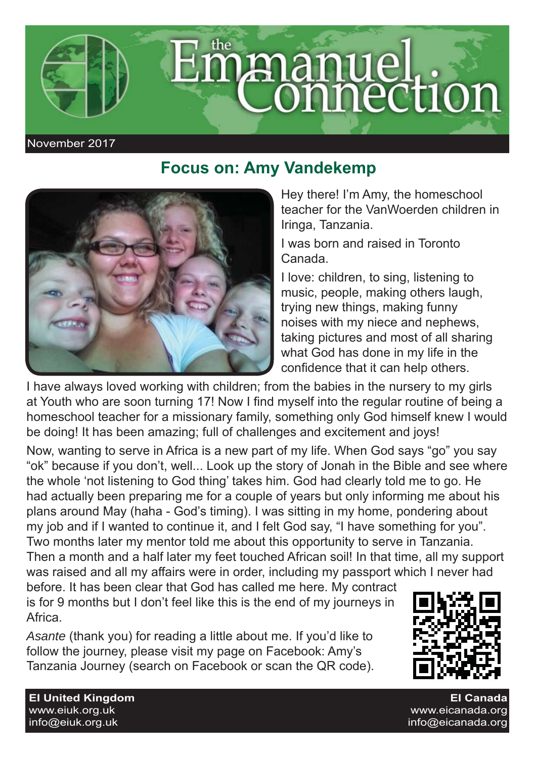

## **Focus on: Amy Vandekemp**



## Hey there! I'm Amy, the homeschool teacher for the VanWoerden children in Iringa, Tanzania.

I was born and raised in Toronto Canada.

I love: children, to sing, listening to music, people, making others laugh, trying new things, making funny noises with my niece and nephews, taking pictures and most of all sharing what God has done in my life in the confidence that it can help others.

I have always loved working with children; from the babies in the nursery to my girls at Youth who are soon turning 17! Now I find myself into the regular routine of being a homeschool teacher for a missionary family, something only God himself knew I would be doing! It has been amazing; full of challenges and excitement and joys!

Now, wanting to serve in Africa is a new part of my life. When God says "go" you say "ok" because if you don't, well... Look up the story of Jonah in the Bible and see where the whole 'not listening to God thing' takes him. God had clearly told me to go. He had actually been preparing me for a couple of years but only informing me about his plans around May (haha - God's timing). I was sitting in my home, pondering about my job and if I wanted to continue it, and I felt God say, "I have something for you". Two months later my mentor told me about this opportunity to serve in Tanzania. Then a month and a half later my feet touched African soil! In that time, all my support was raised and all my affairs were in order, including my passport which I never had

before. It has been clear that God has called me here. My contract is for 9 months but I don't feel like this is the end of my journeys in Africa.

*Asante* (thank you) for reading a little about me. If you'd like to follow the journey, please visit my page on Facebook: Amy's Tanzania Journey (search on Facebook or scan the QR code).



**EI Canada** www.eicanada.org  $info@eicanada$  org

**EI United Kingdom** www.eiuk.org.uk info@eiuk.org.uk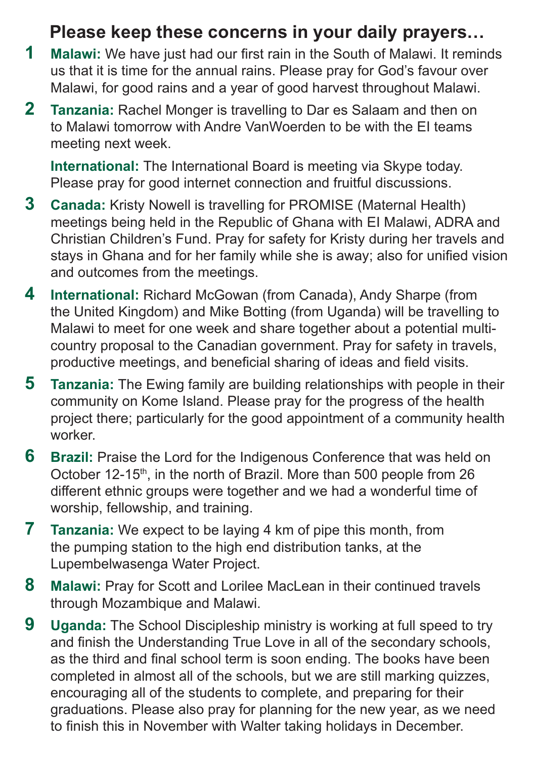## **Please keep these concerns in your daily prayers…**

- **1** Malawi: We have just had our first rain in the South of Malawi. It reminds us that it is time for the annual rains. Please pray for God's favour over Malawi, for good rains and a year of good harvest throughout Malawi.
- **2 Tanzania:** Rachel Monger is travelling to Dar es Salaam and then on to Malawi tomorrow with Andre VanWoerden to be with the EI teams meeting next week.

**International:** The International Board is meeting via Skype today. Please pray for good internet connection and fruitful discussions.

- **3 Canada:** Kristy Nowell is travelling for PROMISE (Maternal Health) meetings being held in the Republic of Ghana with EI Malawi, ADRA and Christian Children's Fund. Pray for safety for Kristy during her travels and stays in Ghana and for her family while she is away; also for unified vision and outcomes from the meetings.
- **4 International:** Richard McGowan (from Canada), Andy Sharpe (from the United Kingdom) and Mike Botting (from Uganda) will be travelling to Malawi to meet for one week and share together about a potential multicountry proposal to the Canadian government. Pray for safety in travels, productive meetings, and beneficial sharing of ideas and field visits.
- **5 Tanzania:** The Ewing family are building relationships with people in their community on Kome Island. Please pray for the progress of the health project there; particularly for the good appointment of a community health worker.
- **6** Brazil: Praise the Lord for the Indigenous Conference that was held on October 12-15<sup>th</sup>, in the north of Brazil. More than 500 people from 26 different ethnic groups were together and we had a wonderful time of worship, fellowship, and training.
- **7 Tanzania:** We expect to be laying 4 km of pipe this month, from the pumping station to the high end distribution tanks, at the Lupembelwasenga Water Project.
- **8 Malawi:** Pray for Scott and Lorilee MacLean in their continued travels through Mozambique and Malawi.
- **9 Uganda:** The School Discipleship ministry is working at full speed to try and finish the Understanding True Love in all of the secondary schools. as the third and final school term is soon ending. The books have been completed in almost all of the schools, but we are still marking quizzes, encouraging all of the students to complete, and preparing for their graduations. Please also pray for planning for the new year, as we need to finish this in November with Walter taking holidays in December.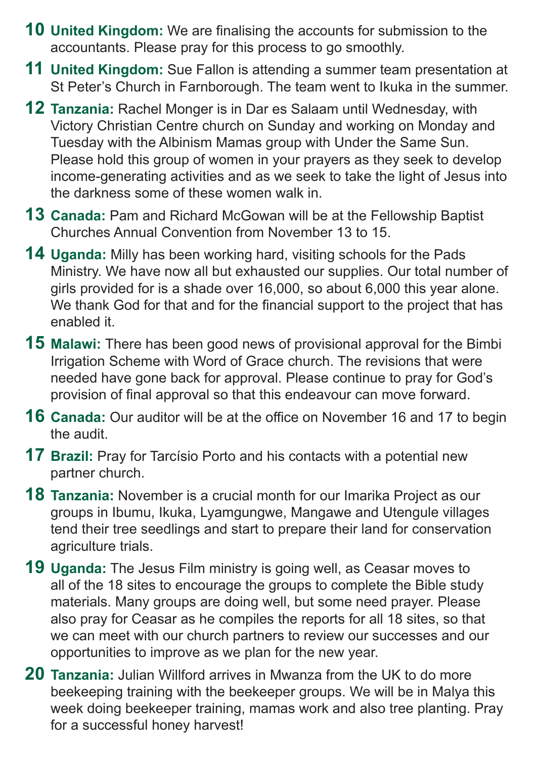- **10 United Kingdom:** We are finalising the accounts for submission to the accountants. Please pray for this process to go smoothly.
- **11 United Kingdom:** Sue Fallon is attending a summer team presentation at St Peter's Church in Farnborough. The team went to Ikuka in the summer.
- **12 Tanzania:** Rachel Monger is in Dar es Salaam until Wednesday, with Victory Christian Centre church on Sunday and working on Monday and Tuesday with the Albinism Mamas group with Under the Same Sun. Please hold this group of women in your prayers as they seek to develop income-generating activities and as we seek to take the light of Jesus into the darkness some of these women walk in.
- **13 Canada:** Pam and Richard McGowan will be at the Fellowship Baptist Churches Annual Convention from November 13 to 15.
- **14 Uganda:** Milly has been working hard, visiting schools for the Pads Ministry. We have now all but exhausted our supplies. Our total number of girls provided for is a shade over 16,000, so about 6,000 this year alone. We thank God for that and for the financial support to the project that has enabled it.
- **15 Malawi:** There has been good news of provisional approval for the Bimbi Irrigation Scheme with Word of Grace church. The revisions that were needed have gone back for approval. Please continue to pray for God's provision of final approval so that this endeavour can move forward.
- **16 Canada:** Our auditor will be at the office on November 16 and 17 to begin the audit.
- **17 Brazil:** Pray for Tarcísio Porto and his contacts with a potential new partner church.
- **18 Tanzania:** November is a crucial month for our Imarika Project as our groups in Ibumu, Ikuka, Lyamgungwe, Mangawe and Utengule villages tend their tree seedlings and start to prepare their land for conservation agriculture trials.
- **19 Uganda:** The Jesus Film ministry is going well, as Ceasar moves to all of the 18 sites to encourage the groups to complete the Bible study materials. Many groups are doing well, but some need prayer. Please also pray for Ceasar as he compiles the reports for all 18 sites, so that we can meet with our church partners to review our successes and our opportunities to improve as we plan for the new year.
- **20 Tanzania:** Julian Willford arrives in Mwanza from the UK to do more beekeeping training with the beekeeper groups. We will be in Malya this week doing beekeeper training, mamas work and also tree planting. Pray for a successful honey harvest!